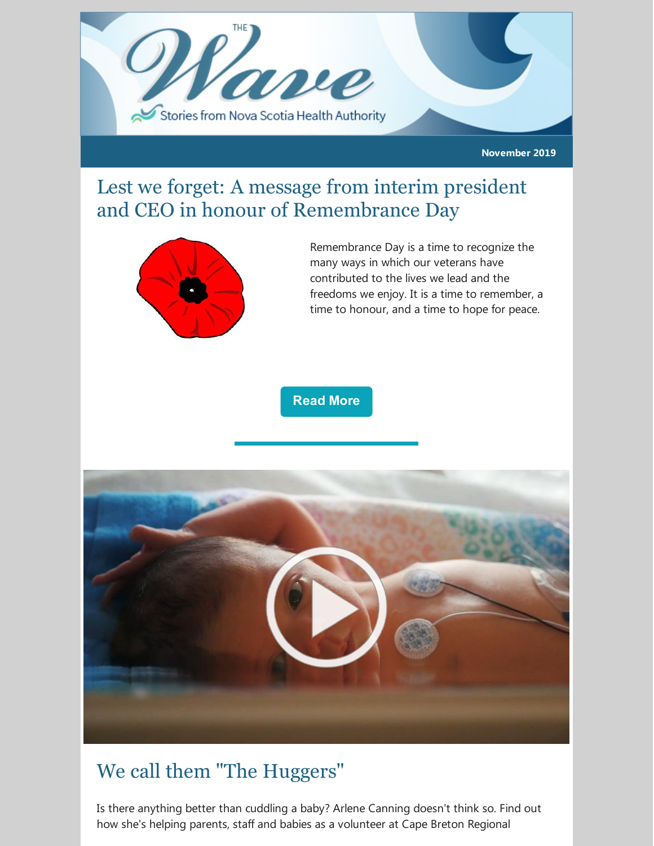

**November 2019**

## Lest we forget: A message from interim president and CEO in honour of Remembrance Day



Remembrance Day is a time to recognize the many ways in which our veterans have contributed to the lives we lead and the freedoms we enjoy. It is a time to remember, a time to honour, and a time to hope for peace.

#### **[Read](http://www.nshealth.ca/news/interim-president-and-ceo-janet-davidson-thanks-nsha-staff-and-facilities-across-province) More**



## We call them "The Huggers"

Is there anything better than cuddling a baby? Arlene Canning doesn't think so. Find out how she's helping parents, staff and babies as a volunteer at Cape Breton Regional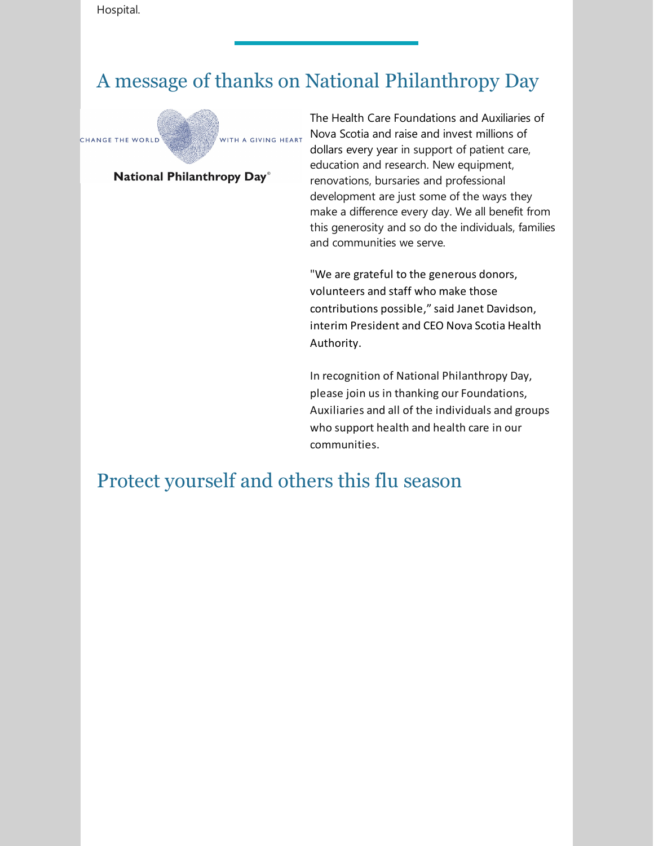Hospital.

## A message of thanks on National Philanthropy Day



#### National Philanthropy Day®

The Health Care Foundations and Auxiliaries of Nova Scotia and raise and invest millions of dollars every year in support of patient care, education and research. New equipment, renovations, bursaries and professional development are just some of the ways they make a difference every day. We all benefit from this generosity and so do the individuals, families and communities we serve.

"We are grateful to the generous donors, volunteers and staff who make those contributions possible," said Janet Davidson, interim President and CEO Nova Scotia Health Authority.

In recognition of National Philanthropy Day, please join us in thanking our Foundations, Auxiliaries and all of the individuals and groups who support health and health care in our communities.

### Protect yourself and others this flu season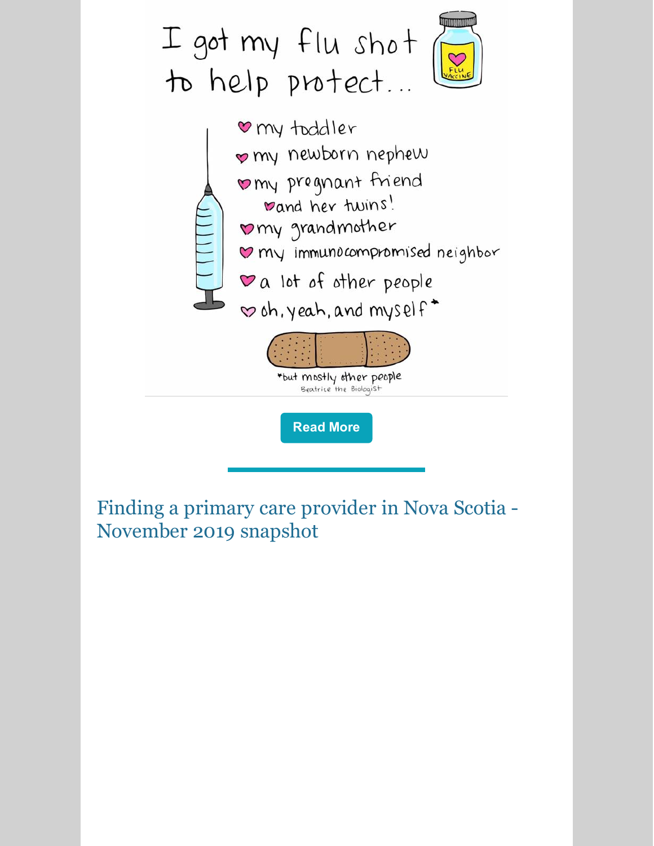

Finding a primary care provider in Nova Scotia - November 2019 snapshot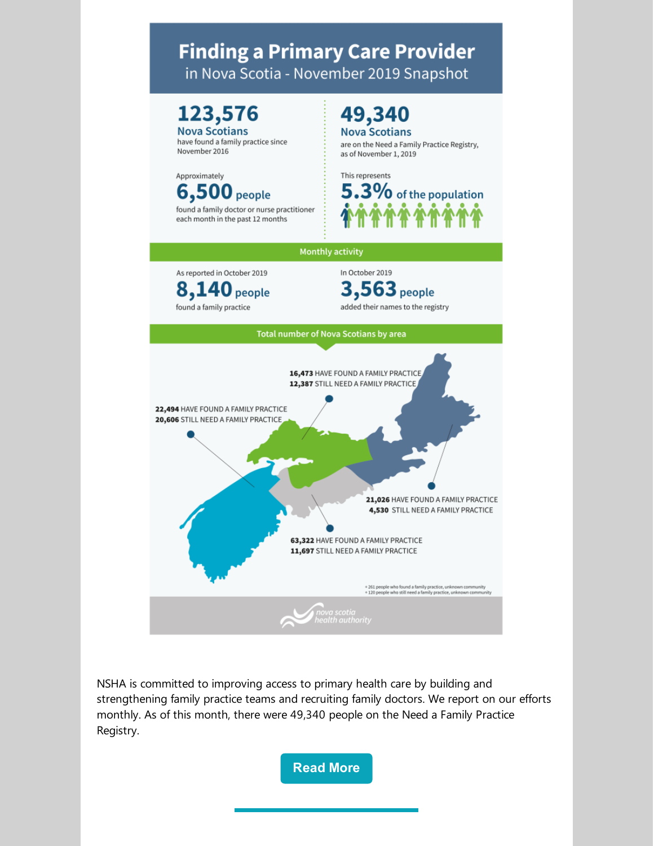### **Finding a Primary Care Provider** in Nova Scotia - November 2019 Snapshot



have found a family practice since November 2016



found a family doctor or nurse practitioner each month in the past 12 months

### 49,340 **Nova Scotians**

are on the Need a Family Practice Registry, as of November 1, 2019





NSHA is committed to improving access to primary health care by building and strengthening family practice teams and recruiting family doctors. We report on our efforts monthly. As of this month, there were 49,340 people on the Need a Family Practice Registry.

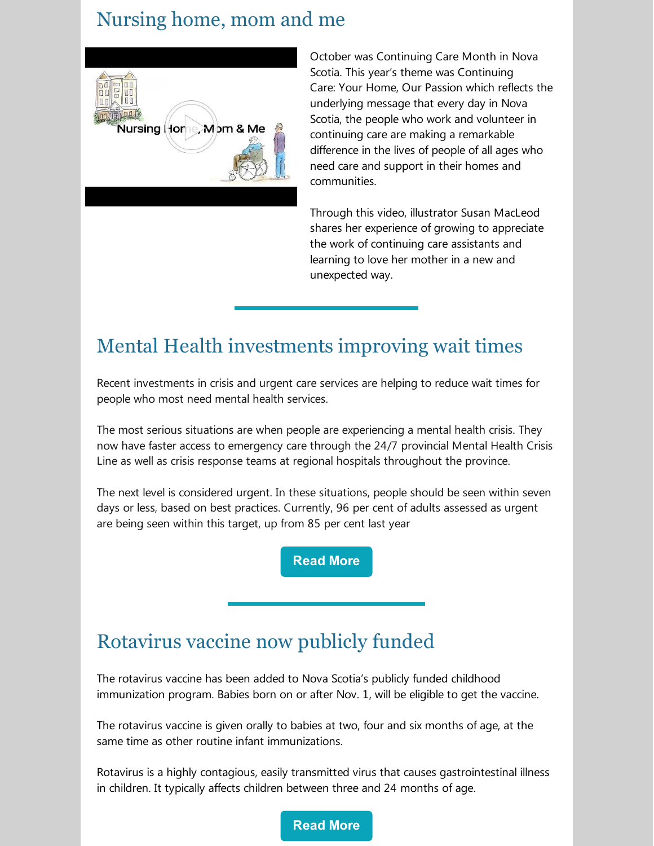### Nursing home, mom and me



October was Continuing Care Month in Nova Scotia. This year's theme was Continuing Care: Your Home, Our Passion which reflects the underlying message that every day in Nova Scotia, the people who work and volunteer in continuing care are making a remarkable difference in the lives of people of all ages who need care and support in their homes and communities.

Through this video, illustrator Susan MacLeod shares her experience of growing to appreciate the work of continuing care assistants and learning to love her mother in a new and unexpected way.

### Mental Health investments improving wait times

Recent investments in crisis and urgent care services are helping to reduce wait times for people who most need mental health services.

The most serious situations are when people are experiencing a mental health crisis. They now have faster access to emergency care through the 24/7 provincial Mental Health Crisis Line as well as crisis response teams at regional hospitals throughout the province.

The next level is considered urgent. In these situations, people should be seen within seven days or less, based on best practices. Currently, 96 per cent of adults assessed as urgent are being seen within this target, up from 85 per cent last year

**[Read](https://novascotia.ca/news/release/?id=20191114004) More**

### Rotavirus vaccine now publicly funded

The rotavirus vaccine has been added to Nova Scotia's publicly funded childhood immunization program. Babies born on or after Nov. 1, will be eligible to get the vaccine.

The rotavirus vaccine is given orally to babies at two, four and six months of age, at the same time as other routine infant immunizations.

Rotavirus is a highly contagious, easily transmitted virus that causes gastrointestinal illness in children. It typically affects children between three and 24 months of age.

**[Read](https://novascotia.ca/news/release/?id=20191101002) More**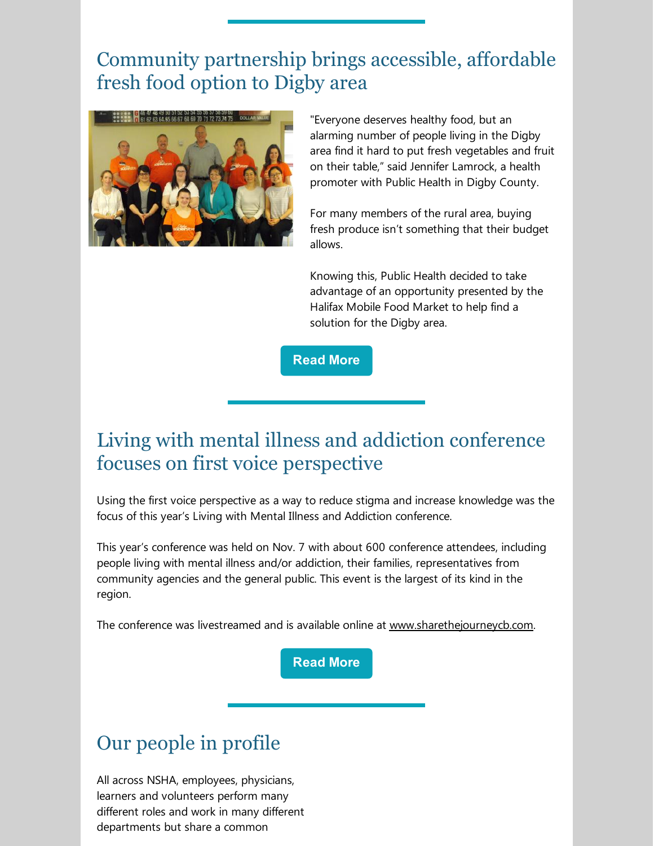## Community partnership brings accessible, affordable fresh food option to Digby area



"Everyone deserves healthy food, but an alarming number of people living in the Digby area find it hard to put fresh vegetables and fruit on their table," said Jennifer Lamrock, a health promoter with Public Health in Digby County.

For many members of the rural area, buying fresh produce isn't something that their budget allows.

Knowing this, Public Health decided to take advantage of an opportunity presented by the Halifax Mobile Food Market to help find a solution for the Digby area.

**[Read](http://www.nshealth.ca/news/community-community-digby-area-gets-accessible-affordable-fresh-food-option) More**

## Living with mental illness and addiction conference focuses on first voice perspective

Using the first voice perspective as a way to reduce stigma and increase knowledge was the focus of this year's Living with Mental Illness and Addiction conference.

This year's conference was held on Nov. 7 with about 600 conference attendees, including people living with mental illness and/or addiction, their families, representatives from community agencies and the general public. This event is the largest of its kind in the region.

The conference was livestreamed and is available online at [www.sharethejourneycb.com](http://www.sharethejourneycb.com/).

**[Read](http://www.nshealth.ca/news/living-mental-illness-and-addiction-conference-takes-place-today-focuses-first-voice) More**

# Our people in profile

All across NSHA, employees, physicians, learners and volunteers perform many different roles and work in many different departments but share a common